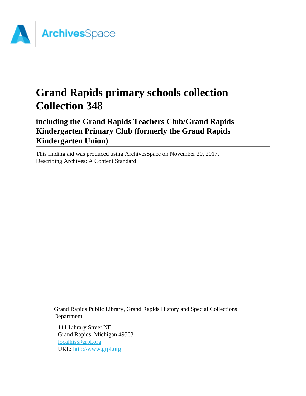

# **Grand Rapids primary schools collection Collection 348**

**including the Grand Rapids Teachers Club/Grand Rapids Kindergarten Primary Club (formerly the Grand Rapids Kindergarten Union)**

This finding aid was produced using ArchivesSpace on November 20, 2017. Describing Archives: A Content Standard

Grand Rapids Public Library, Grand Rapids History and Special Collections Department

111 Library Street NE Grand Rapids, Michigan 49503 [localhis@grpl.org](mailto:localhis@grpl.org) URL:<http://www.grpl.org>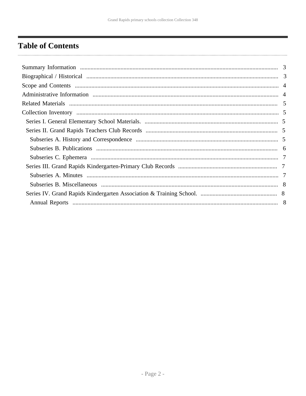# <span id="page-1-0"></span>**Table of Contents**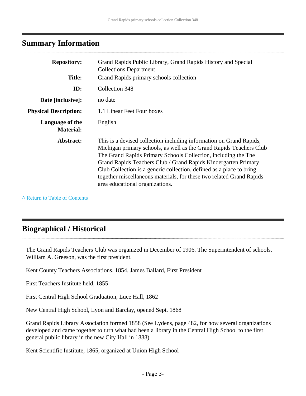# <span id="page-2-0"></span>**Summary Information**

| <b>Repository:</b>                  | Grand Rapids Public Library, Grand Rapids History and Special<br><b>Collections Department</b>                                                                                                                                                                                                                                                                                                                                                                    |
|-------------------------------------|-------------------------------------------------------------------------------------------------------------------------------------------------------------------------------------------------------------------------------------------------------------------------------------------------------------------------------------------------------------------------------------------------------------------------------------------------------------------|
| <b>Title:</b>                       | Grand Rapids primary schools collection                                                                                                                                                                                                                                                                                                                                                                                                                           |
| ID:                                 | Collection 348                                                                                                                                                                                                                                                                                                                                                                                                                                                    |
| Date [inclusive]:                   | no date                                                                                                                                                                                                                                                                                                                                                                                                                                                           |
| <b>Physical Description:</b>        | 1.1 Linear Feet Four boxes                                                                                                                                                                                                                                                                                                                                                                                                                                        |
| Language of the<br><b>Material:</b> | English                                                                                                                                                                                                                                                                                                                                                                                                                                                           |
| Abstract:                           | This is a devised collection including information on Grand Rapids,<br>Michigan primary schools, as well as the Grand Rapids Teachers Club<br>The Grand Rapids Primary Schools Collection, including the The<br>Grand Rapids Teachers Club / Grand Rapids Kindergarten Primary<br>Club Collection is a generic collection, defined as a place to bring<br>together miscellaneous materials, for these two related Grand Rapids<br>area educational organizations. |

**^** [Return to Table of Contents](#page-1-0)

. . . . . . . . . . . .

# <span id="page-2-1"></span>**Biographical / Historical**

The Grand Rapids Teachers Club was organized in December of 1906. The Superintendent of schools, William A. Greeson, was the first president.

Kent County Teachers Associations, 1854, James Ballard, First President

First Teachers Institute held, 1855

First Central High School Graduation, Luce Hall, 1862

New Central High School, Lyon and Barclay, opened Sept. 1868

Grand Rapids Library Association formed 1858 (See Lydens, page 482, for how several organizations developed and came together to turn what had been a library in the Central High School to the first general public library in the new City Hall in 1888).

Kent Scientific Institute, 1865, organized at Union High School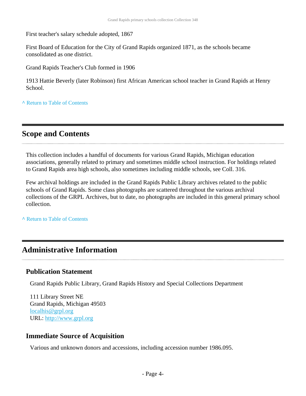First teacher's salary schedule adopted, 1867

First Board of Education for the City of Grand Rapids organized 1871, as the schools became consolidated as one district.

Grand Rapids Teacher's Club formed in 1906

1913 Hattie Beverly (later Robinson) first African American school teacher in Grand Rapids at Henry School.

**^** [Return to Table of Contents](#page-1-0)

# <span id="page-3-0"></span>**Scope and Contents**

This collection includes a handful of documents for various Grand Rapids, Michigan education associations, generally related to primary and sometimes middle school instruction. For holdings related to Grand Rapids area high schools, also sometimes including middle schools, see Coll. 316.

Few archival holdings are included in the Grand Rapids Public Library archives related to the public schools of Grand Rapids. Some class photographs are scattered throughout the various archival collections of the GRPL Archives, but to date, no photographs are included in this general primary school collection.

**^** [Return to Table of Contents](#page-1-0)

# <span id="page-3-1"></span>**Administrative Information**

### **Publication Statement**

Grand Rapids Public Library, Grand Rapids History and Special Collections Department

111 Library Street NE Grand Rapids, Michigan 49503 [localhis@grpl.org](mailto:localhis@grpl.org) URL:<http://www.grpl.org>

### **Immediate Source of Acquisition**

Various and unknown donors and accessions, including accession number 1986.095.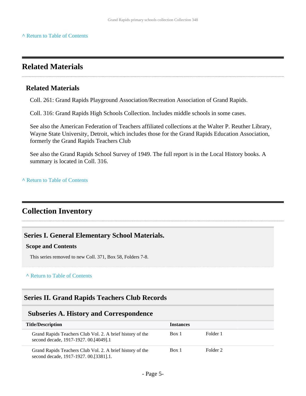# <span id="page-4-0"></span>**Related Materials**

### **Related Materials**

Coll. 261: Grand Rapids Playground Association/Recreation Association of Grand Rapids.

Coll. 316: Grand Rapids High Schools Collection. Includes middle schools in some cases.

See also the American Federation of Teachers affiliated collections at the Walter P. Reuther Library, Wayne State University, Detroit, which includes those for the Grand Rapids Education Association, formerly the Grand Rapids Teachers Club

See also the Grand Rapids School Survey of 1949. The full report is in the Local History books. A summary is located in Coll. 316.

**^** [Return to Table of Contents](#page-1-0)

# <span id="page-4-1"></span>**Collection Inventory**

# <span id="page-4-2"></span>**Series I. General Elementary School Materials.**

#### **Scope and Contents**

This series removed to new Coll. 371, Box 58, Folders 7-8.

#### **^** [Return to Table of Contents](#page-1-0)

### <span id="page-4-3"></span>**Series II. Grand Rapids Teachers Club Records**

#### <span id="page-4-4"></span>**Subseries A. History and Correspondence**

| <b>Title/Description</b>                                                                              | <b>Instances</b> |          |
|-------------------------------------------------------------------------------------------------------|------------------|----------|
| Grand Rapids Teachers Club Vol. 2. A brief history of the<br>second decade, 1917-1927. 00. [4049]. 1  | Box 1            | Folder 1 |
| Grand Rapids Teachers Club Vol. 2. A brief history of the<br>second decade, 1917-1927. 00. [3381]. 1. | Box 1            | Folder 2 |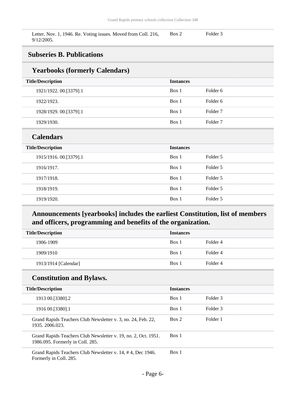Letter. Nov. 1, 1946. Re. Voting issues. Moved from Coll. 216, 9/12/2005. Box 2 Folder 3

# <span id="page-5-0"></span>**Subseries B. Publications**

### **Yearbooks (formerly Calendars)**

| Teat boons (formerly calendary) |                  |                     |
|---------------------------------|------------------|---------------------|
| <b>Title/Description</b>        | <b>Instances</b> |                     |
| 1921/1922. 00.[3379].1          | Box 1            | Folder 6            |
| 1922/1923.                      | Box 1            | Folder 6            |
| 1928/1929. 00.[3379].1          | Box 1            | Folder <sub>7</sub> |
| 1929/1930.                      | Box 1            | Folder <sub>7</sub> |
| <b>Calendars</b>                |                  |                     |
| <b>Title/Description</b>        | <b>Instances</b> |                     |
| 1915/1916.00.[3379].1           | Box 1            | Folder 5            |
| 1916/1917.                      | Box 1            | Folder 5            |
| 1917/1918.                      | Box 1            | Folder 5            |
| 1918/1919.                      | Box 1            | Folder 5            |
| 1919/1920.                      | Box 1            | Folder 5            |

# **Announcements [yearbooks] includes the earliest Constitution, list of members and officers, programming and benefits of the organization.**

| <b>Title/Description</b> | <b>Instances</b> |          |
|--------------------------|------------------|----------|
| 1906-1909                | Box 1            | Folder 4 |
| 1909/1910                | Box 1            | Folder 4 |
| 1913/1914 [Calendar]     | Box 1            | Folder 4 |

# **Constitution and Bylaws.**

| <b>Title/Description</b>                                                                           | <b>Instances</b> |          |
|----------------------------------------------------------------------------------------------------|------------------|----------|
| 1913 00. [3380]. 2                                                                                 | Box 1            | Folder 3 |
| 1916 00. [3380]. 1                                                                                 | Box 1            | Folder 3 |
| Grand Rapids Teachers Club Newsletter v. 3, no. 24, Feb. 22,<br>1935, 2006, 023.                   | Box 2            | Folder 1 |
| Grand Rapids Teachers Club Newsletter v. 19, no. 2, Oct. 1951.<br>1986.095. Formerly in Coll. 285. | Box 1            |          |
| Grand Rapids Teachers Club Newsletter v. 14, #4, Dec 1946.<br>Formerly in Coll. 285.               | Box 1            |          |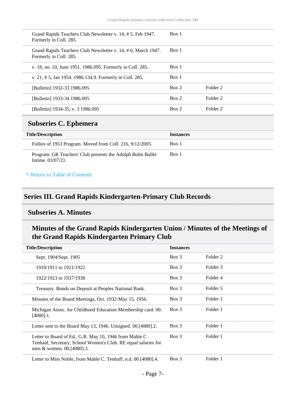| Grand Rapids Teachers Club Newsletter v. 14, #5, Feb 1947.<br>Formerly in Coll. 285.   | Box 1 |          |
|----------------------------------------------------------------------------------------|-------|----------|
| Grand Rapids Teachers Club Newsletter v. 14, #6, March 1947.<br>Formerly in Coll. 285. | Box 1 |          |
| v. 18, no. 10, June 1951. 1986.095. Formerly in Coll. 285.                             | Box 1 |          |
| v. 21, # 5, Jan 1954. 1986.134.9. Formerly in Coll. 285.                               | Box 1 |          |
| [Bulletin] 1932-33 1986.095                                                            | Box 2 | Folder 2 |
| [Bulletin] 1933-34 1986.095                                                            | Box 2 | Folder 2 |
| [Bulletin] 1934-35, v. 3 1986.095                                                      | Box 2 | Folder 2 |
|                                                                                        |       |          |

# <span id="page-6-0"></span>**Subseries C. Ephemera**

| <b>Title/Description</b>                                                        | <b>Instances</b> |
|---------------------------------------------------------------------------------|------------------|
| Follies of 1953 Program. Moved from Coll. 216, 9/12/2005.                       | Box 1            |
| Program. GR Teachers' Club presents the Adolph Bolm Ballet<br>Intime. 03/07/21. | Box 1            |

#### **^** [Return to Table of Contents](#page-1-0)

# <span id="page-6-1"></span>**Series III. Grand Rapids Kindergarten-Primary Club Records**

# <span id="page-6-2"></span>**Subseries A. Minutes**

# **Minutes of the Grand Rapids Kindergarten Union / Minutes of the Meetings of the Grand Rapids Kindergarten Primary Club**

| <b>Title/Description</b>                                                                                                                               | <b>Instances</b> |          |
|--------------------------------------------------------------------------------------------------------------------------------------------------------|------------------|----------|
| Sept. 1904/Sept. 1905                                                                                                                                  | $Box\ 3$         | Folder 2 |
| 1910/1911 to 1921/1922                                                                                                                                 | $Box\ 3$         | Folder 3 |
| 1922/1923 to 1937/1938                                                                                                                                 | $Box\ 3$         | Folder 4 |
| Treasury. Bonds on Deposit at Peoples National Bank.                                                                                                   | $Box\ 3$         | Folder 5 |
| Minutes of the Board Meetings, Oct. 1932-May 15, 1956.                                                                                                 | Box 3            | Folder 1 |
| Michigan Assoc. for Childhood Education Membership card. 00.<br>$[4080]$ .1.                                                                           | $Box\ 3$         | Folder 1 |
| Letter sent to the Board May 13, 1946. Unsigned. 00. [4080]. 2.                                                                                        | Box 3            | Folder 1 |
| Letter to Board of Ed., G.R. May 10, 1946 from Mable C.<br>Tenhaaf, Secretary, School Women's Club. RE equal salaries for<br>men & women. 00.[4080].3. | $Box\ 3$         | Folder 1 |
| Letter to Miss Noble, from Mable C. Tenhaff, n.d. 00.[4080].4.                                                                                         | $Box\ 3$         | Folder 1 |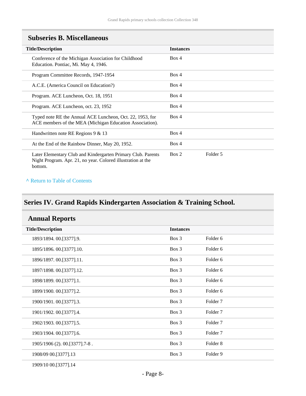| <b>Title/Description</b>                                                                                                                | <b>Instances</b>  |
|-----------------------------------------------------------------------------------------------------------------------------------------|-------------------|
| Conference of the Michigan Association for Childhood<br>Education. Pontiac, Mi. May 4, 1946.                                            | Box 4             |
| Program Committee Records, 1947-1954                                                                                                    | Box 4             |
| A.C.E. (America Council on Education?)                                                                                                  | Box 4             |
| Program. ACE Luncheon, Oct. 18, 1951                                                                                                    | Box 4             |
| Program. ACE Luncheon, oct. 23, 1952                                                                                                    | Box 4             |
| Typed note RE the Annual ACE Luncheon, Oct. 22, 1953, for<br>ACE members of the MEA (Michigan Education Association).                   | Box 4             |
| Handwritten note RE Regions 9 & 13                                                                                                      | Box 4             |
| At the End of the Rainbow Dinner, May 20, 1952.                                                                                         | Box 4             |
| Later Elementary Club and Kindergarten Primary Club. Parents<br>Night Program. Apr. 21, no year. Colored illustration at the<br>bottom. | Box 2<br>Folder 5 |

### <span id="page-7-0"></span>**Subseries B. Miscellaneous**

#### **^** [Return to Table of Contents](#page-1-0)

# <span id="page-7-1"></span>**Series IV. Grand Rapids Kindergarten Association & Training School.**

<span id="page-7-2"></span>

| <b>Annual Reports</b>         |                  |                     |  |
|-------------------------------|------------------|---------------------|--|
| <b>Title/Description</b>      | <b>Instances</b> |                     |  |
| 1893/1894. 00.[3377].9.       | Box 3            | Folder 6            |  |
| 1895/1896. 00. [3377]. 10.    | Box 3            | Folder <sub>6</sub> |  |
| 1896/1897.00.[3377].11.       | Box 3            | Folder 6            |  |
| 1897/1898. 00.[3377].12.      | Box 3            | Folder <sub>6</sub> |  |
| 1898/1899. 00. [3377]. 1.     | Box 3            | Folder 6            |  |
| 1899/1900. 00.[3377].2.       | Box 3            | Folder 6            |  |
| 1900/1901. 00.[3377].3.       | Box 3            | Folder 7            |  |
| 1901/1902. 00.[3377].4.       | Box 3            | Folder <sub>7</sub> |  |
| 1902/1903. 00.[3377].5.       | Box 3            | Folder <sub>7</sub> |  |
| 1903/1904. 00.[3377].6.       | Box 3            | Folder 7            |  |
| 1905/1906 (2). 00.[3377].7-8. | Box 3            | Folder <sub>8</sub> |  |
| 1908/09 00.[3377].13          | Box 3            | Folder <sub>9</sub> |  |
|                               |                  |                     |  |

1909/10 00.[3377].14